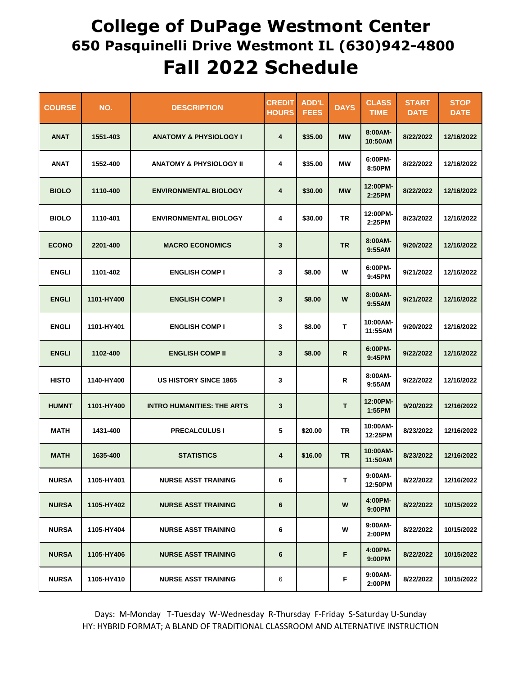## **College of DuPage Westmont Center 650 Pasquinelli Drive Westmont IL (630)942-4800 Fall 2022 Schedule**

| <b>COURSE</b> | NO.        | <b>DESCRIPTION</b>                 | <b>CREDIT</b><br><b>HOURS</b> | <b>ADD'L</b><br><b>FEES</b> | <b>DAYS</b>  | <b>CLASS</b><br><b>TIME</b> | <b>START</b><br><b>DATE</b> | <b>STOP</b><br><b>DATE</b> |
|---------------|------------|------------------------------------|-------------------------------|-----------------------------|--------------|-----------------------------|-----------------------------|----------------------------|
| <b>ANAT</b>   | 1551-403   | <b>ANATOMY &amp; PHYSIOLOGY I</b>  | 4                             | \$35.00                     | <b>MW</b>    | 8:00AM-<br>10:50AM          | 8/22/2022                   | 12/16/2022                 |
| <b>ANAT</b>   | 1552-400   | <b>ANATOMY &amp; PHYSIOLOGY II</b> | 4                             | \$35.00                     | МW           | 6:00PM-<br>8:50PM           | 8/22/2022                   | 12/16/2022                 |
| <b>BIOLO</b>  | 1110-400   | <b>ENVIRONMENTAL BIOLOGY</b>       | 4                             | \$30.00                     | <b>MW</b>    | 12:00PM-<br>2:25PM          | 8/22/2022                   | 12/16/2022                 |
| <b>BIOLO</b>  | 1110-401   | <b>ENVIRONMENTAL BIOLOGY</b>       | 4                             | \$30.00                     | ΤR           | 12:00PM-<br>2:25PM          | 8/23/2022                   | 12/16/2022                 |
| <b>ECONO</b>  | 2201-400   | <b>MACRO ECONOMICS</b>             | 3                             |                             | <b>TR</b>    | 8:00AM-<br>9:55AM           | 9/20/2022                   | 12/16/2022                 |
| <b>ENGLI</b>  | 1101-402   | <b>ENGLISH COMP I</b>              | 3                             | \$8.00                      | W            | 6:00PM-<br>9:45PM           | 9/21/2022                   | 12/16/2022                 |
| <b>ENGLI</b>  | 1101-HY400 | <b>ENGLISH COMP I</b>              | 3                             | \$8.00                      | W            | 8:00AM-<br>9:55AM           | 9/21/2022                   | 12/16/2022                 |
| <b>ENGLI</b>  | 1101-HY401 | <b>ENGLISH COMP I</b>              | 3                             | \$8.00                      | T            | 10:00AM-<br>11:55AM         | 9/20/2022                   | 12/16/2022                 |
| <b>ENGLI</b>  | 1102-400   | <b>ENGLISH COMP II</b>             | 3                             | \$8.00                      | $\mathsf{R}$ | 6:00PM-<br>9:45PM           | 9/22/2022                   | 12/16/2022                 |
| <b>HISTO</b>  | 1140-HY400 | <b>US HISTORY SINCE 1865</b>       | 3                             |                             | R            | 8:00AM-<br>9:55AM           | 9/22/2022                   | 12/16/2022                 |
| <b>HUMNT</b>  | 1101-HY400 | <b>INTRO HUMANITIES: THE ARTS</b>  | 3                             |                             | т            | 12:00PM-<br>1:55PM          | 9/20/2022                   | 12/16/2022                 |
| <b>MATH</b>   | 1431-400   | <b>PRECALCULUS I</b>               | 5                             | \$20.00                     | <b>TR</b>    | 10:00AM-<br>12:25PM         | 8/23/2022                   | 12/16/2022                 |
| <b>MATH</b>   | 1635-400   | <b>STATISTICS</b>                  | 4                             | \$16.00                     | <b>TR</b>    | 10:00AM-<br>11:50AM         | 8/23/2022                   | 12/16/2022                 |
| <b>NURSA</b>  | 1105-HY401 | <b>NURSE ASST TRAINING</b>         | 6                             |                             | T            | 9:00AM-<br>12:50PM          | 8/22/2022                   | 12/16/2022                 |
| <b>NURSA</b>  | 1105-HY402 | <b>NURSE ASST TRAINING</b>         | 6                             |                             | W            | 4:00PM-<br>9:00PM           | 8/22/2022                   | 10/15/2022                 |
| <b>NURSA</b>  | 1105-HY404 | <b>NURSE ASST TRAINING</b>         | 6                             |                             | w            | 9:00AM-<br>2:00PM           | 8/22/2022                   | 10/15/2022                 |
| <b>NURSA</b>  | 1105-HY406 | <b>NURSE ASST TRAINING</b>         | 6                             |                             | F            | 4:00PM-<br>9:00PM           | 8/22/2022                   | 10/15/2022                 |
| <b>NURSA</b>  | 1105-HY410 | <b>NURSE ASST TRAINING</b>         | 6                             |                             | F            | 9:00AM-<br>2:00PM           | 8/22/2022                   | 10/15/2022                 |

Days: M-Monday T-Tuesday W-Wednesday R-Thursday F-Friday S-Saturday U-Sunday HY: HYBRID FORMAT; A BLAND OF TRADITIONAL CLASSROOM AND ALTERNATIVE INSTRUCTION